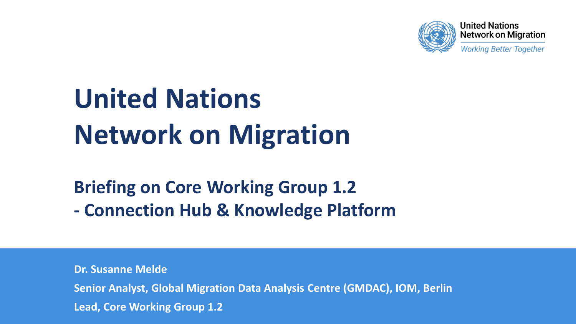

**United Nations Network on Migration** 

**Working Better Together** 

# **United Nations Network on Migration**

#### **Briefing on Core Working Group 1.2 - Connection Hub & Knowledge Platform**

**Dr. Susanne Melde Senior Analyst, Global Migration Data Analysis Centre (GMDAC), IOM, Berlin Lead, Core Working Group 1.2**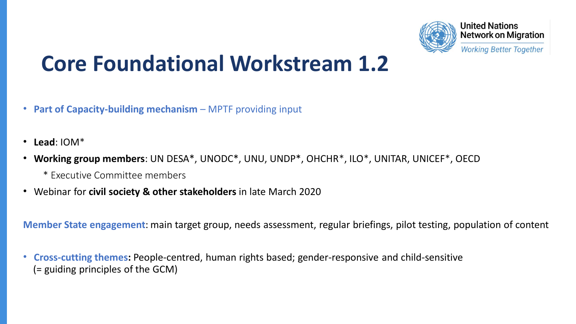

**Working Better Together** 

# **Core Foundational Workstream 1.2**

- **Part of Capacity-building mechanism MPTF providing input**
- **Lead**: IOM\*
- **Working group members**: UN DESA\*, UNODC\*, UNU, UNDP\*, OHCHR\*, ILO\*, UNITAR, UNICEF\*, OECD
	- \* Executive Committee members
- Webinar for **civil society & other stakeholders** in late March 2020

**Member State engagement**: main target group, needs assessment, regular briefings, pilot testing, population of content

• **Cross-cutting themes:** People-centred, human rights based; gender-responsive and child-sensitive (= guiding principles of the GCM)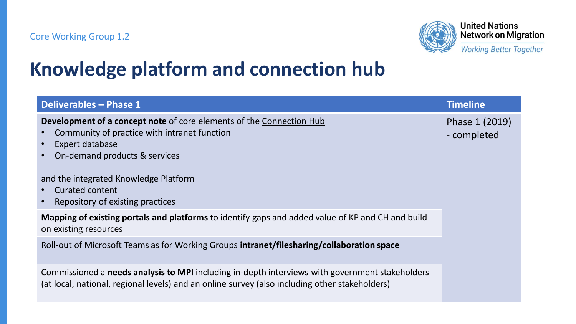

**Working Better Together** 

### **Knowledge platform and connection hub**

| Deliverables - Phase 1                                                                                                                                                                                                                                                                | <b>Timeline</b>               |
|---------------------------------------------------------------------------------------------------------------------------------------------------------------------------------------------------------------------------------------------------------------------------------------|-------------------------------|
| Development of a concept note of core elements of the Connection Hub<br>Community of practice with intranet function<br>Expert database<br>On-demand products & services<br>$\bullet$<br>and the integrated Knowledge Platform<br>Curated content<br>Repository of existing practices | Phase 1 (2019)<br>- completed |
| Mapping of existing portals and platforms to identify gaps and added value of KP and CH and build<br>on existing resources                                                                                                                                                            |                               |
| Roll-out of Microsoft Teams as for Working Groups intranet/filesharing/collaboration space                                                                                                                                                                                            |                               |
| Commissioned a needs analysis to MPI including in-depth interviews with government stakeholders<br>(at local, national, regional levels) and an online survey (also including other stakeholders)                                                                                     |                               |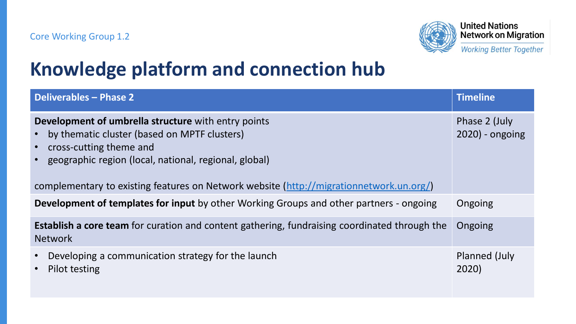

**Working Better Together** 

## **Knowledge platform and connection hub**

| <b>Deliverables - Phase 2</b>                                                                                                                                                                                                                                                      | <b>Timeline</b>                     |
|------------------------------------------------------------------------------------------------------------------------------------------------------------------------------------------------------------------------------------------------------------------------------------|-------------------------------------|
| Development of umbrella structure with entry points<br>by thematic cluster (based on MPTF clusters)<br>cross-cutting theme and<br>geographic region (local, national, regional, global)<br>complementary to existing features on Network website (http://migrationnetwork.un.org/) | Phase 2 (July<br>$2020$ ) - ongoing |
| <b>Development of templates for input</b> by other Working Groups and other partners - ongoing                                                                                                                                                                                     | Ongoing                             |
| <b>Establish a core team</b> for curation and content gathering, fundraising coordinated through the<br><b>Network</b>                                                                                                                                                             | Ongoing                             |
| Developing a communication strategy for the launch<br>Pilot testing                                                                                                                                                                                                                | Planned (July<br>2020)              |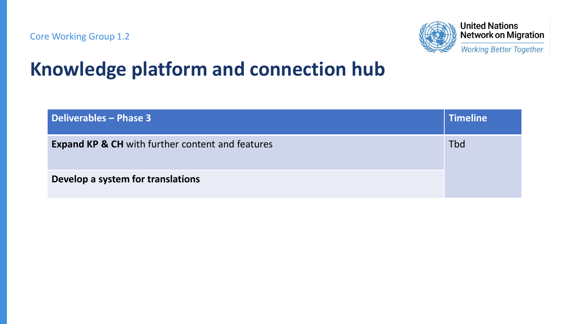Core Working Group 1.2



**United Nations Network on Migration** 

**Working Better Together** 

#### **Knowledge platform and connection hub**

| Deliverables - Phase 3                                      | <b>Timeline</b> |
|-------------------------------------------------------------|-----------------|
| <b>Expand KP &amp; CH</b> with further content and features | <b>Tbd</b>      |
| Develop a system for translations                           |                 |